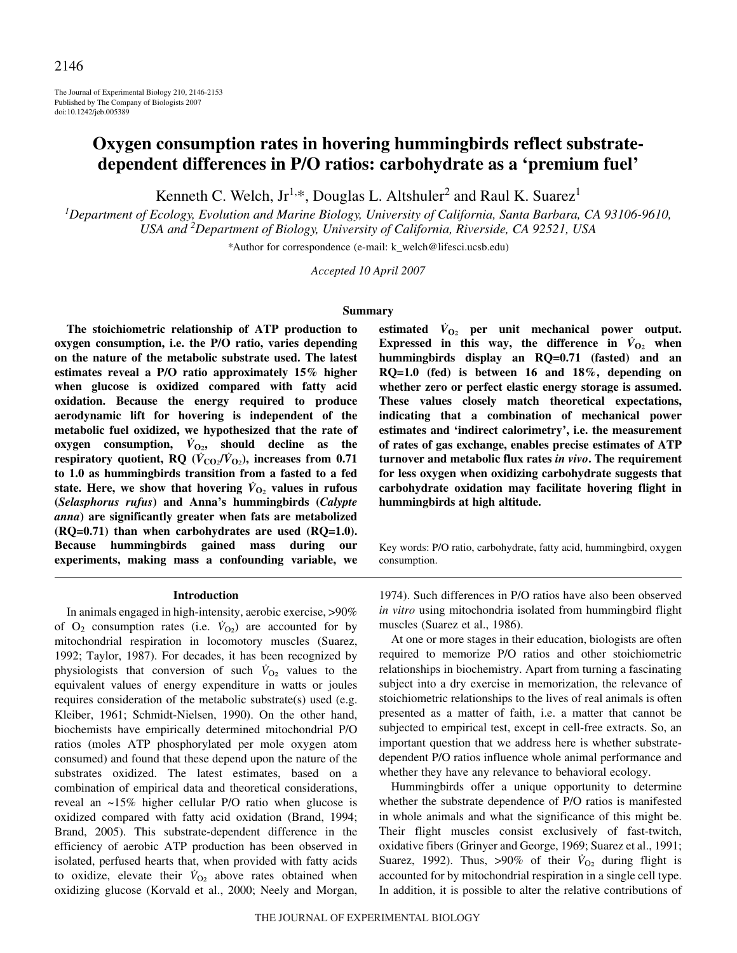The Journal of Experimental Biology 210, 2146-2153 Published by The Company of Biologists 2007 doi:10.1242/jeb.005389

# **Oxygen consumption rates in hovering hummingbirds reflect substratedependent differences in P/O ratios: carbohydrate as a 'premium fuel'**

Kenneth C. Welch,  $Jr^{1,*}$ , Douglas L. Altshuler<sup>2</sup> and Raul K. Suarez<sup>1</sup>

*1 Department of Ecology, Evolution and Marine Biology, University of California, Santa Barbara, CA 93106-9610, USA and <sup>2</sup> Department of Biology, University of California, Riverside, CA 92521, USA*

*\**Author for correspondence (e-mail: k\_welch@lifesci.ucsb.edu)

*Accepted 10 April 2007*

# **Summary**

**The stoichiometric relationship of ATP production to oxygen consumption, i.e. the P/O ratio, varies depending on the nature of the metabolic substrate used. The latest estimates reveal a P/O ratio approximately 15% higher when glucose is oxidized compared with fatty acid oxidation. Because the energy required to produce aerodynamic lift for hovering is independent of the metabolic fuel oxidized, we hypothesized that the rate of**  $oxygen$  consumption,  $\dot{V}_{O2}$ , should decline as the **respiratory quotient, RQ** ( $\dot{V}_{CO_2}/\dot{V}_{O_2}$ ), increases from 0.71 **to 1.0 as hummingbirds transition from a fasted to a fed** state. Here, we show that hovering  $\dot{V}_{\text{O}_2}$  values in rufous **(***Selasphorus rufus***) and Anna's hummingbirds (***Calypte anna***) are significantly greater when fats are metabolized (RQ=0.71) than when carbohydrates are used (RQ=1.0). Because hummingbirds gained mass during our experiments, making mass a confounding variable, we**

#### **Introduction**

In animals engaged in high-intensity, aerobic exercise, >90% of  $O_2$  consumption rates (i.e.  $\dot{V}_{O_2}$ ) are accounted for by mitochondrial respiration in locomotory muscles (Suarez, 1992; Taylor, 1987). For decades, it has been recognized by physiologists that conversion of such  $V_{O_2}$  values to the equivalent values of energy expenditure in watts or joules requires consideration of the metabolic substrate(s) used (e.g. Kleiber, 1961; Schmidt-Nielsen, 1990). On the other hand, biochemists have empirically determined mitochondrial P/O ratios (moles ATP phosphorylated per mole oxygen atom consumed) and found that these depend upon the nature of the substrates oxidized. The latest estimates, based on a combination of empirical data and theoretical considerations, reveal an ~15% higher cellular P/O ratio when glucose is oxidized compared with fatty acid oxidation (Brand, 1994; Brand, 2005). This substrate-dependent difference in the efficiency of aerobic ATP production has been observed in isolated, perfused hearts that, when provided with fatty acids to oxidize, elevate their  $\dot{V}_{O_2}$  above rates obtained when oxidizing glucose (Korvald et al., 2000; Neely and Morgan, estimated  $\dot{V}_{\text{O}_2}$  per unit mechanical power output. **Expressed in this way, the difference in**  $\dot{V}_{O_2}$  **when hummingbirds display an RQ=0.71 (fasted) and an RQ=1.0 (fed) is between 16 and 18%, depending on whether zero or perfect elastic energy storage is assumed. These values closely match theoretical expectations, indicating that a combination of mechanical power estimates and 'indirect calorimetry', i.e. the measurement of rates of gas exchange, enables precise estimates of ATP turnover and metabolic flux rates** *in vivo***. The requirement for less oxygen when oxidizing carbohydrate suggests that carbohydrate oxidation may facilitate hovering flight in hummingbirds at high altitude.**

Key words: P/O ratio, carbohydrate, fatty acid, hummingbird, oxygen consumption.

1974). Such differences in P/O ratios have also been observed *in vitro* using mitochondria isolated from hummingbird flight muscles (Suarez et al., 1986).

At one or more stages in their education, biologists are often required to memorize P/O ratios and other stoichiometric relationships in biochemistry. Apart from turning a fascinating subject into a dry exercise in memorization, the relevance of stoichiometric relationships to the lives of real animals is often presented as a matter of faith, i.e. a matter that cannot be subjected to empirical test, except in cell-free extracts. So, an important question that we address here is whether substratedependent P/O ratios influence whole animal performance and whether they have any relevance to behavioral ecology.

Hummingbirds offer a unique opportunity to determine whether the substrate dependence of P/O ratios is manifested in whole animals and what the significance of this might be. Their flight muscles consist exclusively of fast-twitch, oxidative fibers (Grinyer and George, 1969; Suarez et al., 1991; Suarez, 1992). Thus,  $>90\%$  of their  $\dot{V}_{O_2}$  during flight is accounted for by mitochondrial respiration in a single cell type. In addition, it is possible to alter the relative contributions of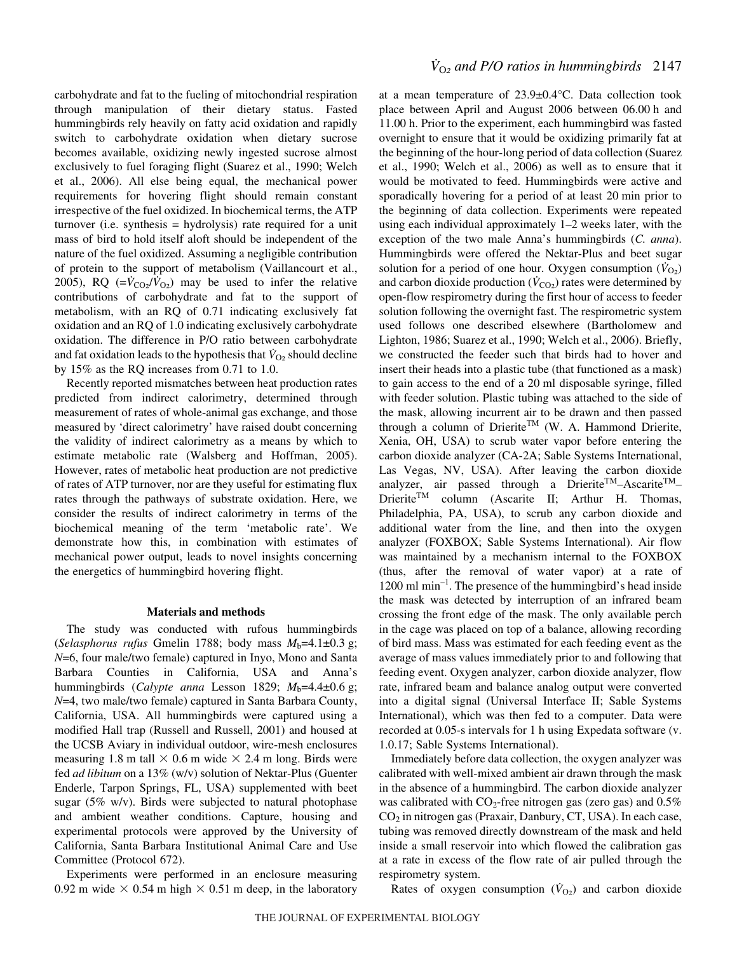carbohydrate and fat to the fueling of mitochondrial respiration through manipulation of their dietary status. Fasted hummingbirds rely heavily on fatty acid oxidation and rapidly switch to carbohydrate oxidation when dietary sucrose becomes available, oxidizing newly ingested sucrose almost exclusively to fuel foraging flight (Suarez et al., 1990; Welch et al., 2006). All else being equal, the mechanical power requirements for hovering flight should remain constant irrespective of the fuel oxidized. In biochemical terms, the ATP turnover (i.e. synthesis = hydrolysis) rate required for a unit mass of bird to hold itself aloft should be independent of the nature of the fuel oxidized. Assuming a negligible contribution of protein to the support of metabolism (Vaillancourt et al., 2005), RQ  $(=\dot{V}_{CO_2}/\dot{V}_{O_2})$  may be used to infer the relative contributions of carbohydrate and fat to the support of metabolism, with an RQ of 0.71 indicating exclusively fat oxidation and an RQ of 1.0 indicating exclusively carbohydrate oxidation. The difference in P/O ratio between carbohydrate and fat oxidation leads to the hypothesis that  $\dot{V}_{\Omega_2}$  should decline by 15% as the RQ increases from 0.71 to 1.0.

Recently reported mismatches between heat production rates predicted from indirect calorimetry, determined through measurement of rates of whole-animal gas exchange, and those measured by 'direct calorimetry' have raised doubt concerning the validity of indirect calorimetry as a means by which to estimate metabolic rate (Walsberg and Hoffman, 2005). However, rates of metabolic heat production are not predictive of rates of ATP turnover, nor are they useful for estimating flux rates through the pathways of substrate oxidation. Here, we consider the results of indirect calorimetry in terms of the biochemical meaning of the term 'metabolic rate'. We demonstrate how this, in combination with estimates of mechanical power output, leads to novel insights concerning the energetics of hummingbird hovering flight.

# **Materials and methods**

The study was conducted with rufous hummingbirds (*Selasphorus rufus* Gmelin 1788; body mass  $M_b=4.1\pm0.3$  g; *N*=6, four male/two female) captured in Inyo, Mono and Santa Barbara Counties in California, USA and Anna's hummingbirds (*Calypte anna* Lesson 1829;  $M_b=4.4\pm0.6$  g; *N*=4, two male/two female) captured in Santa Barbara County, California, USA. All hummingbirds were captured using a modified Hall trap (Russell and Russell, 2001) and housed at the UCSB Aviary in individual outdoor, wire-mesh enclosures measuring 1.8 m tall  $\times$  0.6 m wide  $\times$  2.4 m long. Birds were fed *ad libitum* on a 13% (w/v) solution of Nektar-Plus (Guenter Enderle, Tarpon Springs, FL, USA) supplemented with beet sugar (5% w/v). Birds were subjected to natural photophase and ambient weather conditions. Capture, housing and experimental protocols were approved by the University of California, Santa Barbara Institutional Animal Care and Use Committee (Protocol 672).

Experiments were performed in an enclosure measuring 0.92 m wide  $\times$  0.54 m high  $\times$  0.51 m deep, in the laboratory

at a mean temperature of 23.9±0.4°C. Data collection took place between April and August 2006 between 06.00 h and 11.00 h. Prior to the experiment, each humming bird was fasted overnight to ensure that it would be oxidizing primarily fat at the beginning of the hour-long period of data collection (Suarez et al., 1990; Welch et al., 2006) as well as to ensure that it would be motivated to feed. Hummingbirds were active and sporadically hovering for a period of at least 20 min prior to the beginning of data collection. Experiments were repeated using each individual approximately  $1-2$  weeks later, with the exception of the two male Anna's hummingbirds (*C. anna*). Hummingbirds were offered the Nektar-Plus and beet sugar solution for a period of one hour. Oxygen consumption  $(\dot{V}_{O2})$ and carbon dioxide production  $(\dot{V}_{CO2})$  rates were determined by open-flow respirometry during the first hour of access to feeder solution following the overnight fast. The respirometric system used follows one described elsewhere (Bartholomew and Lighton, 1986; Suarez et al., 1990; Welch et al., 2006). Briefly, we constructed the feeder such that birds had to hover and insert their heads into a plastic tube (that functioned as a mask) to gain access to the end of a 20 ml disposable syringe, filled with feeder solution. Plastic tubing was attached to the side of the mask, allowing incurrent air to be drawn and then passed through a column of Drierite<sup>TM</sup> (W. A. Hammond Drierite, Xenia, OH, USA) to scrub water vapor before entering the carbon dioxide analyzer (CA-2A; Sable Systems International, Las Vegas, NV, USA). After leaving the carbon dioxide analyzer, air passed through a Drierite<sup>TM</sup>-Ascarite<sup>TM</sup>-DrieriteTM column (Ascarite II; Arthur H. Thomas, Philadelphia, PA, USA), to scrub any carbon dioxide and additional water from the line, and then into the oxygen analyzer (FOXBOX; Sable Systems International). Air flow was maintained by a mechanism internal to the FOXBOX (thus, after the removal of water vapor) at a rate of  $1200 \text{ ml min}^{-1}$ . The presence of the hummingbird's head inside the mask was detected by interruption of an infrared beam crossing the front edge of the mask. The only available perch in the cage was placed on top of a balance, allowing recording of bird mass. Mass was estimated for each feeding event as the average of mass values immediately prior to and following that feeding event. Oxygen analyzer, carbon dioxide analyzer, flow rate, infrared beam and balance analog output were converted into a digital signal (Universal Interface II; Sable Systems International), which was then fed to a computer. Data were recorded at 0.05-s intervals for 1 h using Expedata software (v. 1.0.17; Sable Systems International).

Immediately before data collection, the oxygen analyzer was calibrated with well-mixed ambient air drawn through the mask in the absence of a hummingbird. The carbon dioxide analyzer was calibrated with  $CO_2$ -free nitrogen gas (zero gas) and  $0.5\%$ CO2 in nitrogen gas (Praxair, Danbury, CT, USA). In each case, tubing was removed directly downstream of the mask and held inside a small reservoir into which flowed the calibration gas at a rate in excess of the flow rate of air pulled through the respirometry system.

Rates of oxygen consumption  $(\dot{V}_{Q2})$  and carbon dioxide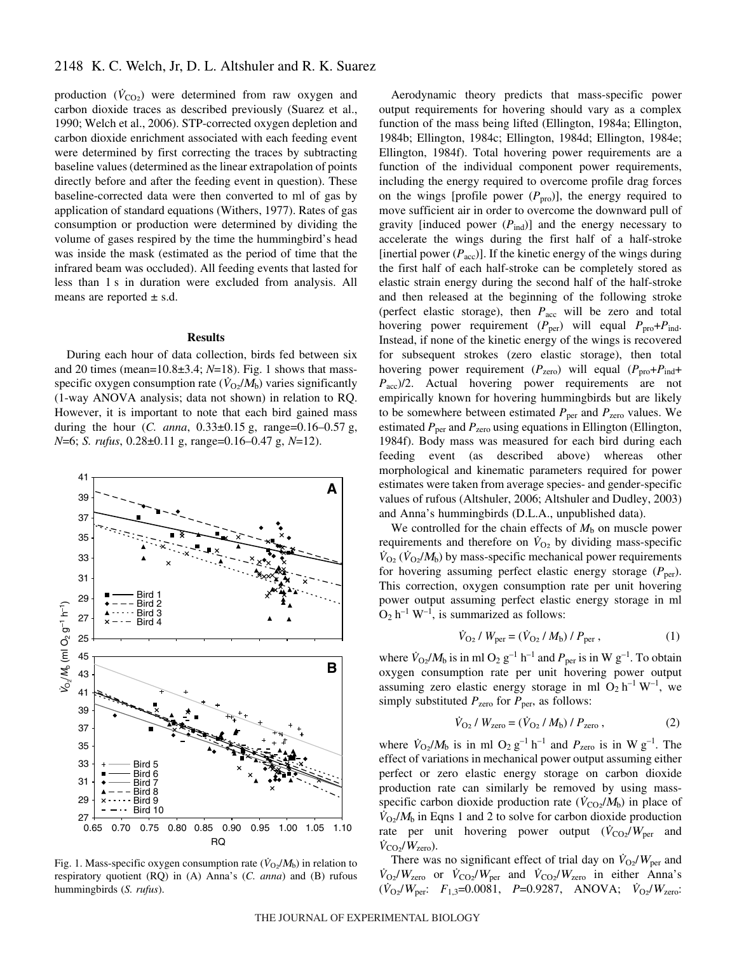production  $(\dot{V}_{CO2})$  were determined from raw oxygen and carbon dioxide traces as described previously (Suarez et al., 1990; Welch et al., 2006). STP-corrected oxygen depletion and carbon dioxide enrichment associated with each feeding event were determined by first correcting the traces by subtracting baseline values (determined as the linear extrapolation of points directly before and after the feeding event in question). These baseline-corrected data were then converted to ml of gas by application of standard equations (Withers, 1977). Rates of gas consumption or production were determined by dividing the volume of gases respired by the time the hummingbird's head was inside the mask (estimated as the period of time that the infrared beam was occluded). All feeding events that lasted for less than 1 s in duration were excluded from analysis. All means are reported  $\pm$  s.d.

### **Results**

During each hour of data collection, birds fed between six and 20 times (mean= $10.8\pm3.4$ ;  $N=18$ ). Fig. 1 shows that massspecific oxygen consumption rate  $(\dot{V}_{\Omega_2}/M_b)$  varies significantly (1-way ANOVA analysis; data not shown) in relation to RQ. However, it is important to note that each bird gained mass during the hour  $(C. \text{ anna}, 0.33 \pm 0.15 \text{ g}, \text{ range}=0.16-0.57 \text{ g},$ *N*=6; *S. rufus*, 0.28±0.11 g, range=0.16–0.47 g, *N*=12).



Fig. 1. Mass-specific oxygen consumption rate  $(\dot{V}_{\text{O}}/M_{\text{b}})$  in relation to respiratory quotient (RQ) in (A) Anna's (*C. anna*) and (B) rufous hummingbirds (*S. rufus*).

Aerodynamic theory predicts that mass-specific power output requirements for hovering should vary as a complex function of the mass being lifted (Ellington, 1984a; Ellington, 1984b; Ellington, 1984c; Ellington, 1984d; Ellington, 1984e; Ellington, 1984f). Total hovering power requirements are a function of the individual component power requirements, including the energy required to overcome profile drag forces on the wings [profile power  $(P_{\text{pro}})$ ], the energy required to move sufficient air in order to overcome the downward pull of gravity [induced power  $(P_{ind})$ ] and the energy necessary to accelerate the wings during the first half of a half-stroke [inertial power  $(P_{\text{acc}})$ ]. If the kinetic energy of the wings during the first half of each half-stroke can be completely stored as elastic strain energy during the second half of the half-stroke and then released at the beginning of the following stroke (perfect elastic storage), then *P*<sub>acc</sub> will be zero and total hovering power requirement  $(P_{\text{per}})$  will equal  $P_{\text{pro}}+P_{\text{ind}}$ . Instead, if none of the kinetic energy of the wings is recovered for subsequent strokes (zero elastic storage), then total hovering power requirement ( $P_{\text{zero}}$ ) will equal ( $P_{\text{pro}}+P_{\text{ind}}+$ *P*<sub>acc</sub>)/2. Actual hovering power requirements are not empirically known for hovering hummingbirds but are likely to be somewhere between estimated  $P_{\text{per}}$  and  $P_{\text{zero}}$  values. We estimated  $P_{\text{per}}$  and  $P_{\text{zero}}$  using equations in Ellington (Ellington, 1984f). Body mass was measured for each bird during each feeding event (as described above) whereas other morphological and kinematic parameters required for power estimates were taken from average species- and gender-specific values of rufous (Altshuler, 2006; Altshuler and Dudley, 2003) and Anna's hummingbirds (D.L.A., unpublished data).

We controlled for the chain effects of  $M<sub>b</sub>$  on muscle power requirements and therefore on  $\dot{V}_{\text{O}_2}$  by dividing mass-specific  $\dot{V}_{\text{O}_2}(\dot{V}_{\text{O}_2}/M_b)$  by mass-specific mechanical power requirements for hovering assuming perfect elastic energy storage  $(P_{\text{per}})$ . This correction, oxygen consumption rate per unit hovering power output assuming perfect elastic energy storage in ml  $O_2 h^{-1} W^{-1}$ , is summarized as follows:

$$
\dot{V}_{\text{O}_2} / W_{\text{per}} = (\dot{V}_{\text{O}_2} / M_{\text{b}}) / P_{\text{per}} , \qquad (1)
$$

where  $\dot{V}_{\text{O}_2}/M_{\text{b}}$  is in ml O<sub>2</sub> g<sup>-1</sup> h<sup>-1</sup> and  $P_{\text{per}}$  is in W g<sup>-1</sup>. To obtain oxygen consumption rate per unit hovering power output assuming zero elastic energy storage in ml  $O_2 h^{-1} W^{-1}$ , we simply substituted  $P_{\text{zero}}$  for  $P_{\text{per}}$ , as follows:

$$
\dot{V}_{\text{O}_2} / W_{\text{zero}} = (\dot{V}_{\text{O}_2} / M_{\text{b}}) / P_{\text{zero}} ,\qquad (2)
$$

where  $\dot{V}_{\text{O}_2}/M_b$  is in ml  $\text{O}_2$   $g^{-1}$  h<sup>-1</sup> and  $P_{\text{zero}}$  is in W  $g^{-1}$ . The effect of variations in mechanical power output assuming either perfect or zero elastic energy storage on carbon dioxide production rate can similarly be removed by using massspecific carbon dioxide production rate  $(\dot{V}_{\rm CO2}/M_{\rm b})$  in place of  $\dot{V}_{\Omega/2}/M_{\rm b}$  in Eqns 1 and 2 to solve for carbon dioxide production rate per unit hovering power output  $(\dot{V}_{CO_2}/W_{\text{per}})$  and  $\dot{V}_{\rm CO_2}/W_{\rm zero}$ ).

There was no significant effect of trial day on  $\dot{V}_{\text{O}_2}/W_{\text{per}}$  and  $\dot{V}_{\text{O}_2}/W_{\text{zero}}$  or  $\dot{V}_{\text{CO}_2}/W_{\text{per}}$  and  $\dot{V}_{\text{CO}_2}/W_{\text{zero}}$  in either Anna's  $(\dot{V}_{\text{O}_2}/W_{\text{per}}; F_{1,3}=0.0081, P=0.9287, ANOVA; \dot{V}_{\text{O}_2}/W_{\text{zero}};$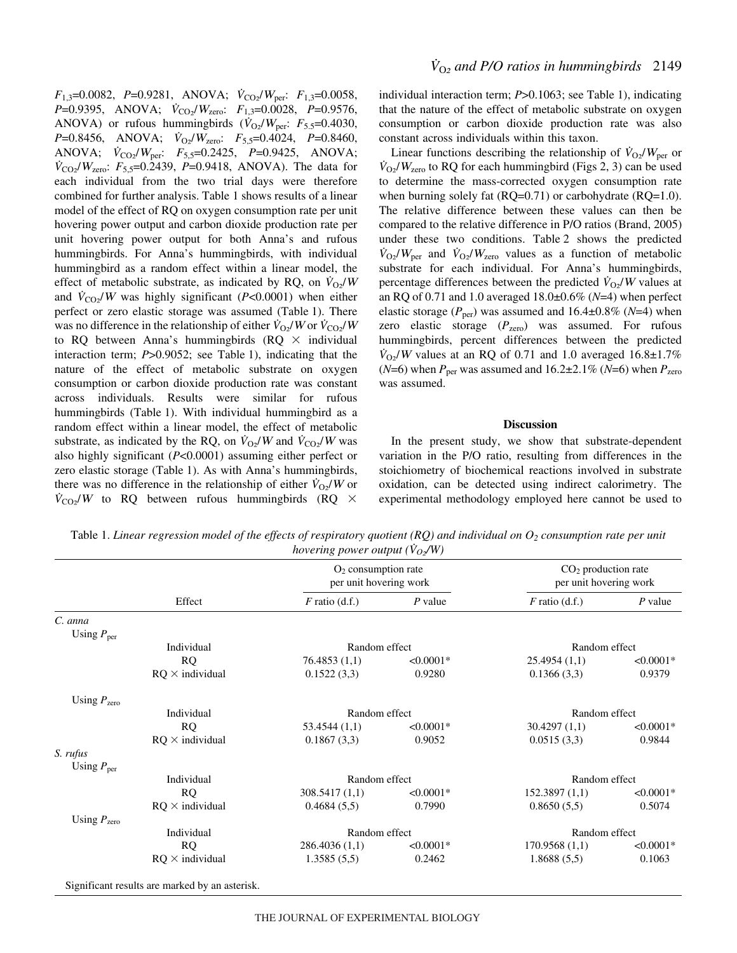$F_{1,3}=0.0082$ ,  $P=0.9281$ , ANOVA;  $\dot{V}_{\text{CO}_2}/W_{\text{per}}$ :  $F_{1,3}=0.0058$ , *P*=0.9395, ANOVA;  $\dot{V}_{CO_2}/W_{zero}$ : *F*<sub>1,3</sub>=0.0028, *P*=0.9576, ANOVA) or rufous hummingbirds  $(\dot{V}_{O_2}/W_{\text{per}}$ :  $F_{5.5}=0.4030$ , *P*=0.8456, ANOVA;  $\dot{V}_{O_2}/W_{zero}$ :  $F_{5,5}=0.4024$ , *P*=0.8460, ANOVA;  $\dot{V}_{CO_2}/W_{\text{per}}$ ;  $F_{5,5}=0.2425$ ,  $P=0.9425$ , ANOVA;  $\dot{V}_{\rm CO2}/W_{\rm zero}$ : *F*<sub>5,5</sub>=0.2439, *P*=0.9418, ANOVA). The data for each individual from the two trial days were therefore combined for further analysis. Table 1 shows results of a linear model of the effect of RQ on oxygen consumption rate per unit hovering power output and carbon dioxide production rate per unit hovering power output for both Anna's and rufous hummingbirds. For Anna's hummingbirds, with individual hummingbird as a random effect within a linear model, the effect of metabolic substrate, as indicated by RQ, on  $\dot{V}_{\Omega}$ and  $\dot{V}_{CO}$ /*W* was highly significant (*P*<0.0001) when either perfect or zero elastic storage was assumed (Table 1). There was no difference in the relationship of either  $\dot{V}_{\text{O}2}/W$  or  $\dot{V}_{\text{CO}2}/W$ to RQ between Anna's hummingbirds (RQ  $\times$  individual interaction term;  $P > 0.9052$ ; see Table 1), indicating that the nature of the effect of metabolic substrate on oxygen consumption or carbon dioxide production rate was constant across individuals. Results were similar for rufous hummingbirds (Table 1). With individual hummingbird as a random effect within a linear model, the effect of metabolic substrate, as indicated by the RQ, on  $\dot{V}_{Q2}/W$  and  $\dot{V}_{CQ2}/W$  was also highly significant (*P*<0.0001) assuming either perfect or zero elastic storage (Table 1). As with Anna's hummingbirds, there was no difference in the relationship of either  $\dot{V}_{\text{O}_2}/W$  or  $\dot{V}_{\text{CO}_2}/W$  to RQ between rufous hummingbirds (RQ  $\times$  individual interaction term; *P*>0.1063; see Table 1), indicating that the nature of the effect of metabolic substrate on oxygen consumption or carbon dioxide production rate was also constant across individuals within this taxon.

Linear functions describing the relationship of  $\dot{V}_{\text{O}_2}/W_{\text{per}}$  or  $\dot{V}_{\text{O}2}/W_{\text{zero}}$  to RQ for each hummingbird (Figs 2, 3) can be used to determine the mass-corrected oxygen consumption rate when burning solely fat (RQ=0.71) or carbohydrate (RQ=1.0). The relative difference between these values can then be compared to the relative difference in P/O ratios (Brand, 2005) under these two conditions. Table 2 shows the predicted  $\dot{V}_{\text{O}2}/W_{\text{per}}$  and  $\dot{V}_{\text{O}2}/W_{\text{zero}}$  values as a function of metabolic substrate for each individual. For Anna's hummingbirds, percentage differences between the predicted  $\dot{V}_{\Omega}$ /*W* values at an RQ of 0.71 and 1.0 averaged 18.0±0.6% (*N*=4) when perfect elastic storage ( $P_{\text{per}}$ ) was assumed and 16.4 $\pm$ 0.8% ( $N$ =4) when zero elastic storage ( $P<sub>zero</sub>$ ) was assumed. For rufous hummingbirds, percent differences between the predicted  $\dot{V}_{\Omega}$ /*W* values at an RQ of 0.71 and 1.0 averaged 16.8 $\pm$ 1.7% ( $N=6$ ) when  $P_{\text{per}}$  was assumed and  $16.2\pm2.1\%$  ( $N=6$ ) when  $P_{\text{zero}}$ was assumed.

#### **Discussion**

In the present study, we show that substrate-dependent variation in the P/O ratio, resulting from differences in the stoichiometry of biochemical reactions involved in substrate oxidation, can be detected using indirect calorimetry. The experimental methodology employed here cannot be used to

Table 1. Linear regression model of the effects of respiratory quotient (RQ) and individual on O<sub>2</sub> consumption rate per unit *hovering power output*  $(\dot{V}_{O_2}/W)$ 

|                         | Effect                 | $O2$ consumption rate<br>per unit hovering work |             | $CO2$ production rate<br>per unit hovering work |             |
|-------------------------|------------------------|-------------------------------------------------|-------------|-------------------------------------------------|-------------|
|                         |                        | $F$ ratio (d.f.)                                | $P$ value   | $F$ ratio (d.f.)                                | $P$ value   |
| C. anna                 |                        |                                                 |             |                                                 |             |
| Using $P_{\text{per}}$  |                        |                                                 |             |                                                 |             |
|                         | Individual             | Random effect                                   |             | Random effect                                   |             |
|                         | <b>RQ</b>              | 76.4853(1,1)                                    | $< 0.0001*$ | 25.4954(1,1)                                    | $< 0.0001*$ |
|                         | $RQ \times$ individual | 0.1522(3,3)                                     | 0.9280      | 0.1366(3,3)                                     | 0.9379      |
| Using $P_{\text{zero}}$ |                        |                                                 |             |                                                 |             |
|                         | Individual             | Random effect                                   |             | Random effect                                   |             |
|                         | <b>RQ</b>              | 53.4544(1,1)                                    | $<0.0001*$  | 30.4297(1,1)                                    | $< 0.0001*$ |
|                         | $RQ \times$ individual | 0.1867(3,3)                                     | 0.9052      | 0.0515(3,3)                                     | 0.9844      |
| S. rufus                |                        |                                                 |             |                                                 |             |
| Using $P_{\text{per}}$  |                        |                                                 |             |                                                 |             |
|                         | Individual             | Random effect                                   |             | Random effect                                   |             |
|                         | <b>RQ</b>              | 308.5417(1,1)                                   | $< 0.0001*$ | 152.3897(1,1)                                   | $< 0.0001*$ |
|                         | $RQ \times$ individual | 0.4684(5,5)                                     | 0.7990      | 0.8650(5,5)                                     | 0.5074      |
| Using $P_{\text{zero}}$ |                        |                                                 |             |                                                 |             |
|                         | Individual             | Random effect                                   |             | Random effect                                   |             |
|                         | <b>RQ</b>              | 286.4036(1,1)                                   | $<0.0001*$  | 170.9568(1,1)                                   | $< 0.0001*$ |
|                         | $RQ \times$ individual | 1.3585(5,5)                                     | 0.2462      | 1.8688(5,5)                                     | 0.1063      |
|                         |                        |                                                 |             |                                                 |             |

Significant results are marked by an asterisk.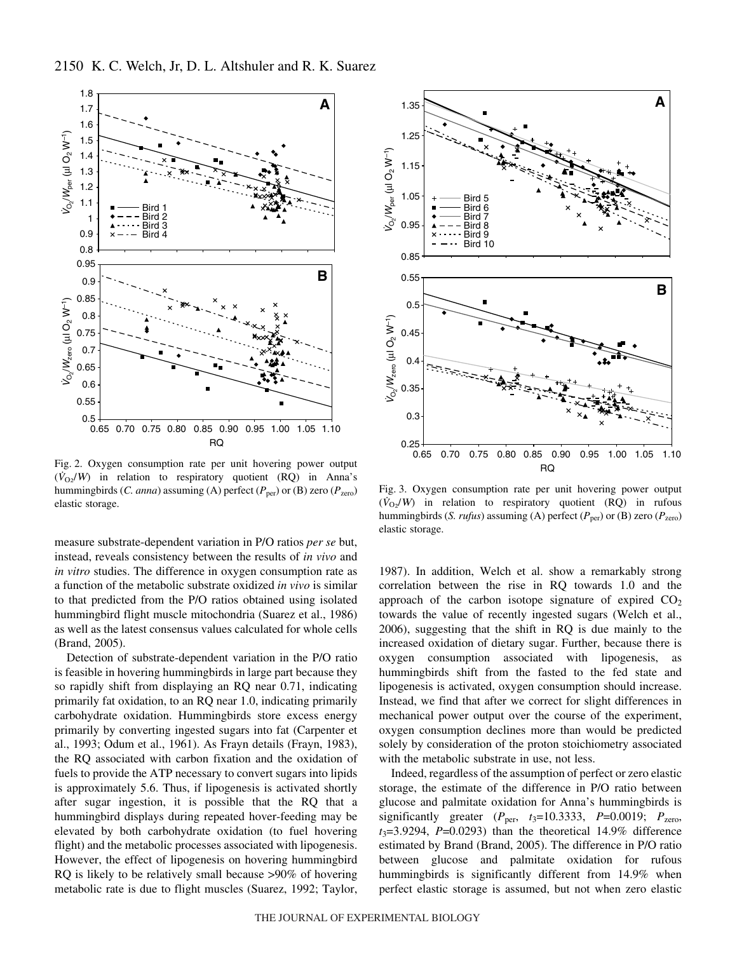

Fig. 2. Oxygen consumption rate per unit hovering power output  $(\dot{V}_{O_2}/W)$  in relation to respiratory quotient (RQ) in Anna's hummingbirds (*C. anna*) assuming (A) perfect ( $P_{\text{per}}$ ) or (B) zero ( $P_{\text{zero}}$ ) elastic storage.

measure substrate-dependent variation in P/O ratios *per se* but, instead, reveals consistency between the results of *in vivo* and *in vitro* studies. The difference in oxygen consumption rate as a function of the metabolic substrate oxidized *in vivo* is similar to that predicted from the P/O ratios obtained using isolated hummingbird flight muscle mitochondria (Suarez et al., 1986) as well as the latest consensus values calculated for whole cells (Brand, 2005).

Detection of substrate-dependent variation in the P/O ratio is feasible in hovering hummingbirds in large part because they so rapidly shift from displaying an RQ near 0.71, indicating primarily fat oxidation, to an RQ near 1.0, indicating primarily carbohydrate oxidation. Hummingbirds store excess energy primarily by converting ingested sugars into fat (Carpenter et al., 1993; Odum et al., 1961). As Frayn details (Frayn, 1983), the RQ associated with carbon fixation and the oxidation of fuels to provide the ATP necessary to convert sugars into lipids is approximately 5.6. Thus, if lipogenesis is activated shortly after sugar ingestion, it is possible that the RQ that a hummingbird displays during repeated hover-feeding may be elevated by both carbohydrate oxidation (to fuel hovering flight) and the metabolic processes associated with lipogenesis. However, the effect of lipogenesis on hovering hummingbird RQ is likely to be relatively small because >90% of hovering metabolic rate is due to flight muscles (Suarez, 1992; Taylor,



Fig. 3. Oxygen consumption rate per unit hovering power output  $(\dot{V}_{O2}/W)$  in relation to respiratory quotient (RQ) in rufous hummingbirds (*S. rufus*) assuming (A) perfect ( $P_{\text{per}}$ ) or (B) zero ( $P_{\text{zero}}$ ) elastic storage.

1987). In addition, Welch et al. show a remarkably strong correlation between the rise in RQ towards 1.0 and the approach of the carbon isotope signature of expired  $CO<sub>2</sub>$ towards the value of recently ingested sugars (Welch et al., 2006), suggesting that the shift in RQ is due mainly to the increased oxidation of dietary sugar. Further, because there is oxygen consumption associated with lipogenesis, as hummingbirds shift from the fasted to the fed state and lipogenesis is activated, oxygen consumption should increase. Instead, we find that after we correct for slight differences in mechanical power output over the course of the experiment, oxygen consumption declines more than would be predicted solely by consideration of the proton stoichiometry associated with the metabolic substrate in use, not less.

Indeed, regardless of the assumption of perfect or zero elastic storage, the estimate of the difference in P/O ratio between glucose and palmitate oxidation for Anna's hummingbirds is significantly greater  $(P_{\text{per}}, t_3=10.3333, P=0.0019; P_{\text{zero}},$ *t*3=3.9294, *P*=0.0293) than the theoretical 14.9% difference estimated by Brand (Brand, 2005). The difference in P/O ratio between glucose and palmitate oxidation for rufous hummingbirds is significantly different from 14.9% when perfect elastic storage is assumed, but not when zero elastic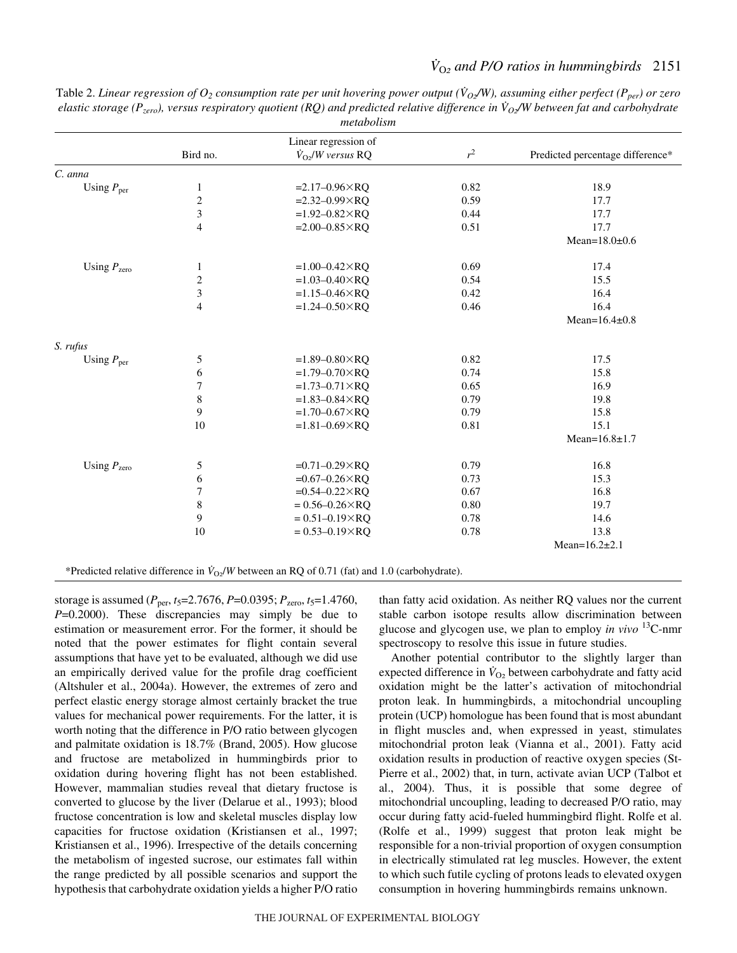| ,,,,,,,,,,,,,,,         |                         |                                          |       |                                  |  |
|-------------------------|-------------------------|------------------------------------------|-------|----------------------------------|--|
|                         | Linear regression of    |                                          |       |                                  |  |
|                         | Bird no.                | $\dot{V}_{\Omega2}$ / <i>W</i> versus RQ | $r^2$ | Predicted percentage difference* |  |
| C. anna                 |                         |                                          |       |                                  |  |
| Using $P_{\text{per}}$  | $\mathbf{1}$            | $=2.17 - 0.96 \times RQ$                 | 0.82  | 18.9                             |  |
|                         | $\sqrt{2}$              | $=2.32 - 0.99 \times RQ$                 | 0.59  | 17.7                             |  |
|                         | $\overline{\mathbf{3}}$ | $=1.92 - 0.82 \times RQ$                 | 0.44  | 17.7                             |  |
|                         | $\overline{4}$          | $=2.00 - 0.85 \times RQ$                 | 0.51  | 17.7                             |  |
|                         |                         |                                          |       | Mean= $18.0\pm0.6$               |  |
| Using $P_{\text{zero}}$ | 1                       | $=1.00 - 0.42 \times RQ$                 | 0.69  | 17.4                             |  |
|                         | $\sqrt{2}$              | $=1.03 - 0.40 \times RQ$                 | 0.54  | 15.5                             |  |
|                         | $\overline{\mathbf{3}}$ | $=1.15 - 0.46 \times RQ$                 | 0.42  | 16.4                             |  |
|                         | $\overline{4}$          | $=1.24 - 0.50 \times RQ$                 | 0.46  | 16.4                             |  |
|                         |                         |                                          |       | Mean= $16.4\pm0.8$               |  |
| S. rufus                |                         |                                          |       |                                  |  |
| Using $P_{\text{per}}$  | 5                       | $=1.89 - 0.80 \times RQ$                 | 0.82  | 17.5                             |  |
|                         | $\sqrt{6}$              | $=1.79 - 0.70 \times RQ$                 | 0.74  | 15.8                             |  |
|                         | $\overline{7}$          | $=1.73-0.71\times RQ$                    | 0.65  | 16.9                             |  |
|                         | $\,$ 8 $\,$             | $=1.83 - 0.84 \times RQ$                 | 0.79  | 19.8                             |  |
|                         | 9                       | $=1.70 - 0.67 \times RQ$                 | 0.79  | 15.8                             |  |
|                         | 10                      | $=1.81 - 0.69 \times RQ$                 | 0.81  | 15.1                             |  |
|                         |                         |                                          |       | Mean= $16.8 \pm 1.7$             |  |
| Using $P_{\text{zero}}$ | $\mathfrak{S}$          | $=0.71 - 0.29 \times RQ$                 | 0.79  | 16.8                             |  |
|                         | 6                       | $=0.67 - 0.26 \times RQ$                 | 0.73  | 15.3                             |  |
|                         | $\boldsymbol{7}$        | $=0.54 - 0.22 \times RQ$                 | 0.67  | 16.8                             |  |
|                         | $\,$ 8 $\,$             | $= 0.56 - 0.26 \times RQ$                | 0.80  | 19.7                             |  |
|                         | 9                       | $= 0.51 - 0.19 \times RQ$                | 0.78  | 14.6                             |  |
|                         | 10                      | $= 0.53 - 0.19 \times RQ$                | 0.78  | 13.8                             |  |
|                         |                         |                                          |       | Mean= $16.2 \pm 2.1$             |  |

Table 2. Linear regression of  $O_2$  consumption rate per unit hovering power output ( $V_{O_2}/W$ ), assuming either perfect ( $P_{per}$ ) or zero *elastic storage (Pzero), versus respiratory quotient (RQ) and predicted relative difference in V<sup>O</sup>*2*/W between fat and carbohydrate metabolism*

\*Predicted relative difference in  $\dot{V}_{\text{O2}}/W$  between an RQ of 0.71 (fat) and 1.0 (carbohydrate).

storage is assumed (*P*per, *t*5=2.7676, *P*=0.0395; *P*zero, *t*5=1.4760, *P*=0.2000). These discrepancies may simply be due to estimation or measurement error. For the former, it should be noted that the power estimates for flight contain several assumptions that have yet to be evaluated, although we did use an empirically derived value for the profile drag coefficient (Altshuler et al., 2004a). However, the extremes of zero and perfect elastic energy storage almost certainly bracket the true values for mechanical power requirements. For the latter, it is worth noting that the difference in P/O ratio between glycogen and palmitate oxidation is 18.7% (Brand, 2005). How glucose and fructose are metabolized in hummingbirds prior to oxidation during hovering flight has not been established. However, mammalian studies reveal that dietary fructose is converted to glucose by the liver (Delarue et al., 1993); blood fructose concentration is low and skeletal muscles display low capacities for fructose oxidation (Kristiansen et al., 1997; Kristiansen et al., 1996). Irrespective of the details concerning the metabolism of ingested sucrose, our estimates fall within the range predicted by all possible scenarios and support the hypothesis that carbohydrate oxidation yields a higher P/O ratio than fatty acid oxidation. As neither RQ values nor the current stable carbon isotope results allow discrimination between glucose and glycogen use, we plan to employ *in vivo* 13C-nmr spectroscopy to resolve this issue in future studies.

Another potential contributor to the slightly larger than expected difference in  $\dot{V}_{\text{O}_2}$  between carbohydrate and fatty acid oxidation might be the latter's activation of mitochondrial proton leak. In hummingbirds, a mitochondrial uncoupling protein (UCP) homologue has been found that is most abundant in flight muscles and, when expressed in yeast, stimulates mitochondrial proton leak (Vianna et al., 2001). Fatty acid oxidation results in production of reactive oxygen species (St-Pierre et al., 2002) that, in turn, activate avian UCP (Talbot et al., 2004). Thus, it is possible that some degree of mitochondrial uncoupling, leading to decreased P/O ratio, may occur during fatty acid-fueled hummingbird flight. Rolfe et al. (Rolfe et al., 1999) suggest that proton leak might be responsible for a non-trivial proportion of oxygen consumption in electrically stimulated rat leg muscles. However, the extent to which such futile cycling of protons leads to elevated oxygen consumption in hovering hummingbirds remains unknown.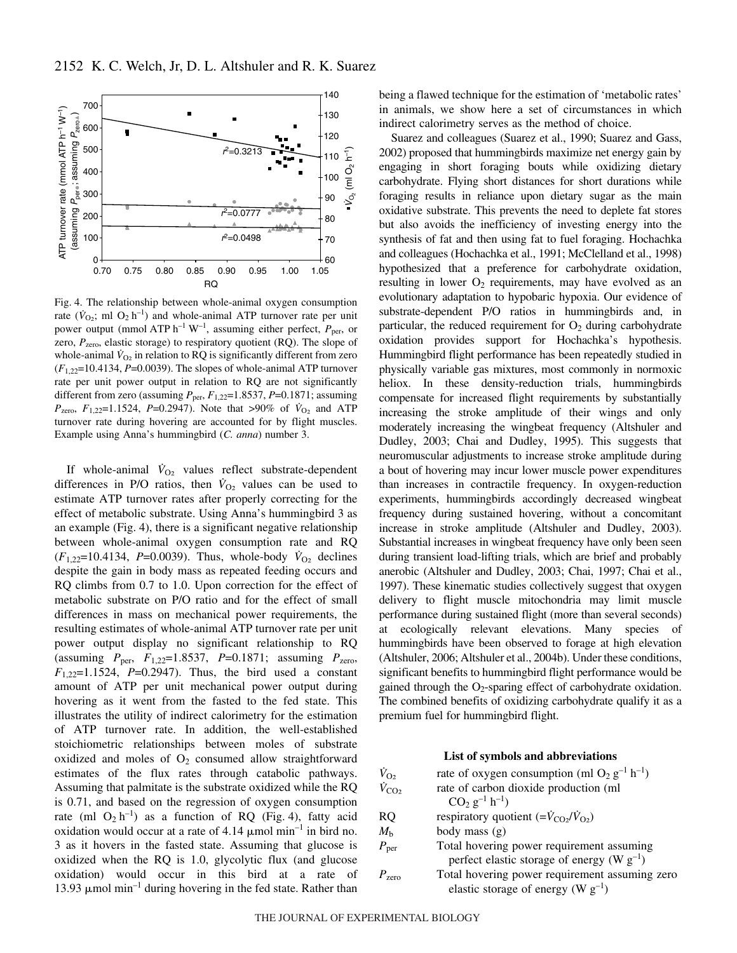

Fig. 4. The relationship between whole-animal oxygen consumption rate ( $\dot{V}_{\text{O}_2}$ ; ml  $\text{O}_2$  h<sup>-1</sup>) and whole-animal ATP turnover rate per unit power output (mmol ATP h<sup>-1</sup> W<sup>-1</sup>, assuming either perfect,  $P_{\text{per}}$ , or zero,  $P_{\text{zero}}$ , elastic storage) to respiratory quotient (RQ). The slope of whole-animal  $\dot{V}_{O_2}$  in relation to RQ is significantly different from zero  $(F_{1,22}=10.4134, P=0.0039)$ . The slopes of whole-animal ATP turnover rate per unit power output in relation to RQ are not significantly different from zero (assuming  $P_{\text{per}}$ ,  $F_{1,22}=1.8537$ ,  $P=0.1871$ ; assuming *P*<sub>zero</sub>,  $F_{1,22}=1.1524$ , *P*=0.2947). Note that >90% of  $\dot{V}_{O_2}$  and ATP turnover rate during hovering are accounted for by flight muscles. Example using Anna's hummingbird (*C. anna*) number 3.

If whole-animal  $\dot{V}_{\text{O}_2}$  values reflect substrate-dependent differences in P/O ratios, then  $\dot{V}_{\text{O}_2}$  values can be used to estimate ATP turnover rates after properly correcting for the effect of metabolic substrate. Using Anna's hummingbird 3 as an example (Fig. 4), there is a significant negative relationship between whole-animal oxygen consumption rate and RQ  $(F_{1,22}=10.4134, P=0.0039)$ . Thus, whole-body  $\dot{V}_{O_2}$  declines despite the gain in body mass as repeated feeding occurs and RQ climbs from 0.7 to 1.0. Upon correction for the effect of metabolic substrate on P/O ratio and for the effect of small differences in mass on mechanical power requirements, the resulting estimates of whole-animal ATP turnover rate per unit power output display no significant relationship to RQ (assuming *P*per, *F*1,22=1.8537, *P*=0.1871; assuming *P*zero,  $F_{1,22}=1.1524$ ,  $P=0.2947$ ). Thus, the bird used a constant amount of ATP per unit mechanical power output during hovering as it went from the fasted to the fed state. This illustrates the utility of indirect calorimetry for the estimation of ATP turnover rate. In addition, the well-established stoichiometric relationships between moles of substrate oxidized and moles of  $O_2$  consumed allow straightforward estimates of the flux rates through catabolic pathways. Assuming that palmitate is the substrate oxidized while the RQ is 0.71, and based on the regression of oxygen consumption rate (ml  $O_2 h^{-1}$ ) as a function of RQ (Fig. 4), fatty acid oxidation would occur at a rate of  $4.14 \mu$ mol min<sup>-1</sup> in bird no. 3 as it hovers in the fasted state. Assuming that glucose is oxidized when the RQ is 1.0, glycolytic flux (and glucose oxidation) would occur in this bird at a rate of 13.93  $\mu$ mol min<sup>-1</sup> during hovering in the fed state. Rather than being a flawed technique for the estimation of 'metabolic rates' in animals, we show here a set of circumstances in which indirect calorimetry serves as the method of choice.

Suarez and colleagues (Suarez et al., 1990; Suarez and Gass, 2002) proposed that hummingbirds maximize net energy gain by engaging in short foraging bouts while oxidizing dietary carbohydrate. Flying short distances for short durations while foraging results in reliance upon dietary sugar as the main oxidative substrate. This prevents the need to deplete fat stores but also avoids the inefficiency of investing energy into the synthesis of fat and then using fat to fuel foraging. Hochachka and colleagues (Hochachka et al., 1991; McClelland et al., 1998) hypothesized that a preference for carbohydrate oxidation, resulting in lower  $O_2$  requirements, may have evolved as an evolutionary adaptation to hypobaric hypoxia. Our evidence of substrate-dependent P/O ratios in hummingbirds and, in particular, the reduced requirement for  $O<sub>2</sub>$  during carbohydrate oxidation provides support for Hochachka's hypothesis. Hummingbird flight performance has been repeatedly studied in physically variable gas mixtures, most commonly in normoxic heliox. In these density-reduction trials, hummingbirds compensate for increased flight requirements by substantially increasing the stroke amplitude of their wings and only moderately increasing the wingbeat frequency (Altshuler and Dudley, 2003; Chai and Dudley, 1995). This suggests that neuromuscular adjustments to increase stroke amplitude during a bout of hovering may incur lower muscle power expenditures than increases in contractile frequency. In oxygen-reduction experiments, hummingbirds accordingly decreased wingbeat frequency during sustained hovering, without a concomitant increase in stroke amplitude (Altshuler and Dudley, 2003). Substantial increases in wingbeat frequency have only been seen during transient load-lifting trials, which are brief and probably anerobic (Altshuler and Dudley, 2003; Chai, 1997; Chai et al., 1997). These kinematic studies collectively suggest that oxygen delivery to flight muscle mitochondria may limit muscle performance during sustained flight (more than several seconds) at ecologically relevant elevations. Many species of hummingbirds have been observed to forage at high elevation (Altshuler, 2006; Altshuler et al., 2004b). Under these conditions, significant benefits to hummingbird flight performance would be gained through the  $O<sub>2</sub>$ -sparing effect of carbohydrate oxidation. The combined benefits of oxidizing carbohydrate qualify it as a premium fuel for hummingbird flight.

### **List of symbols and abbreviations**

| $\dot{V}_{\rm O2}$  | rate of oxygen consumption (ml O <sub>2</sub> g <sup>-1</sup> h <sup>-1</sup> ) |  |  |  |
|---------------------|---------------------------------------------------------------------------------|--|--|--|
| $\dot{V}_{\rm CO2}$ | rate of carbon dioxide production (ml                                           |  |  |  |
|                     | $CO2 g-1 h-1$ )                                                                 |  |  |  |
| <b>RQ</b>           | respiratory quotient $(=\dot{V}_{CO2}/\dot{V}_{O2})$                            |  |  |  |
| $M_{\rm b}$         | body mass $(g)$                                                                 |  |  |  |
| $P_{\text{per}}$    | Total hovering power requirement assuming                                       |  |  |  |
|                     | perfect elastic storage of energy (W $g^{-1}$ )                                 |  |  |  |
| $P_{\text{zero}}$   | Total hovering power requirement assuming zero                                  |  |  |  |
|                     | elastic storage of energy (W $g^{-1}$ )                                         |  |  |  |